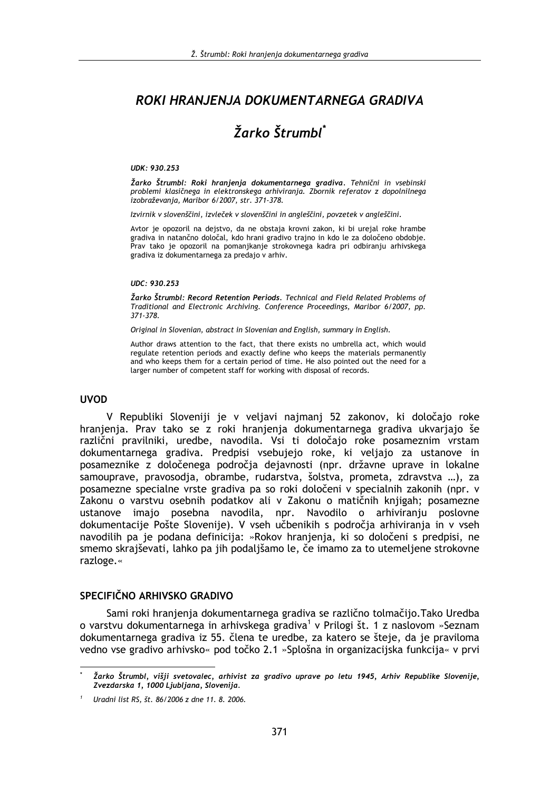## ROKI HRANJENJA DOKUMENTARNEGA GRADIVA

# Žarko Štrumbl<sup>\*</sup>

#### UDK: 930.253

Žarko Štrumbl: Roki hranjenja dokumentarnega gradiva. Tehnični in vsebinski problemi klasičnega in elektronskega arhiviranja. Zbornik referatov z dopolnilnega izobraževanja, Maribor 6/2007, str. 371-378.

Izvirnik v slovenščini, izvleček v slovenščini in angleščini, povzetek v angleščini.

Avtor je opozoril na dejstvo, da ne obstaja krovni zakon, ki bi urejal roke hrambe gradiva in natančno določal, kdo hrani gradivo trajno in kdo le za določeno obdobje. Prav tako je opozoril na pomanjkanje strokovnega kadra pri odbiranju arhivskega gradiva iz dokumentarnega za predajo v arhiv.

#### UDC: 930.253

Žarko Štrumbl: Record Retention Periods. Technical and Field Related Problems of Traditional and Electronic Archiving. Conference Proceedings, Maribor 6/2007, pp. 371-378.

Original in Slovenian, abstract in Slovenian and English, summary in English.

Author draws attention to the fact, that there exists no umbrella act, which would regulate retention periods and exactly define who keeps the materials permanently and who keeps them for a certain period of time. He also pointed out the need for a larger number of competent staff for working with disposal of records.

#### **UVOD**

V Republiki Sloveniji je v veljavi najmanj 52 zakonov, ki določajo roke hranjenja. Prav tako se z roki hranjenja dokumentarnega gradiva ukvarjajo še različni pravilniki, uredbe, navodila. Vsi ti določajo roke posameznim vrstam dokumentarnega gradiva. Predpisi vsebujejo roke, ki veljajo za ustanove in posameznike z določenega področja dejavnosti (npr. državne uprave in lokalne samouprave, pravosodja, obrambe, rudarstva, šolstva, prometa, zdravstva ...), za posamezne specialne vrste gradiva pa so roki določeni v specialnih zakonih (npr. v Zakonu o varstvu osebnih podatkov ali v Zakonu o matičnih knjigah; posamezne ustanove imajo posebna navodila, npr. Navodilo o arhiviranju poslovne dokumentacije Pošte Slovenije). V vseh učbenikih s področja arhiviranja in v vseh navodilih pa je podana definicija: »Rokov hranjenja, ki so določeni s predpisi, ne smemo skrajševati, lahko pa jih podaljšamo le, če imamo za to utemeljene strokovne razloge.«

#### SPECIFIČNO ARHIVSKO GRADIVO

Sami roki hranjenja dokumentarnega gradiva se različno tolmačijo. Tako Uredba o varstvu dokumentarnega in arhivskega gradiva<sup>1</sup> v Prilogi št. 1 z naslovom »Seznam dokumentarnega gradiva iz 55. člena te uredbe, za katero se šteje, da je praviloma vedno vse gradivo arhivsko« pod točko 2.1 »Splošna in organizacijska funkcija« v prvi

Žarko Štrumbl, višji svetovalec, arhivist za gradivo uprave po letu 1945, Arhiv Republike Slovenije, Zvezdarska 1, 1000 Ljubljana, Slovenija.

Uradni list RS, št. 86/2006 z dne 11, 8, 2006.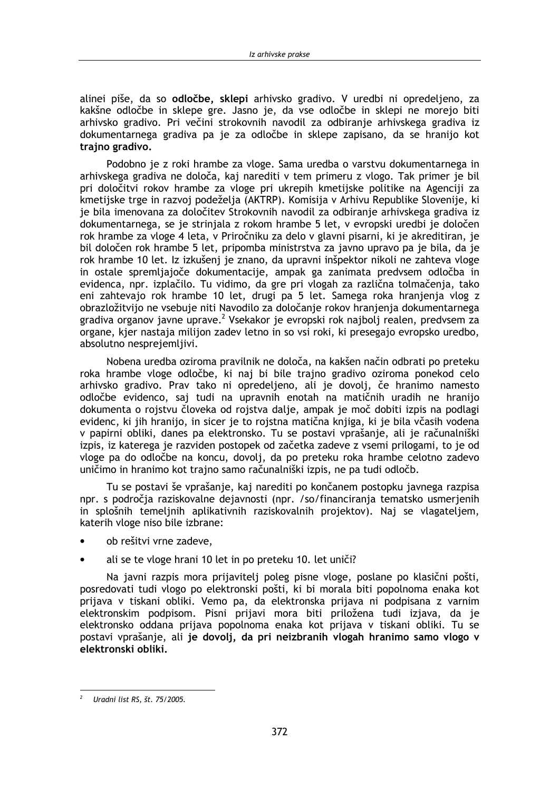alinej piše, da so odločbe, sklepi arhivsko gradivo. V uredbi ni opredeljeno, za kakšne odločbe in sklepe gre. Jasno je, da vse odločbe in sklepi ne morejo biti arhivsko gradivo. Pri večini strokovnih navodil za odbiranie arhivskega gradiva iz dokumentarnega gradiva pa je za odločbe in sklepe zapisano, da se hranijo kot trajno gradivo.

Podobno je z roki hrambe za vloge. Sama uredba o varstvu dokumentarnega in arhivskega gradiva ne določa, kaj narediti v tem primeru z vlogo. Tak primer je bil pri določitvi rokov hrambe za vloge pri ukrepih kmetijske politike na Agenciji za kmetijske trge in razvoj podeželja (AKTRP). Komisija v Arhivu Republike Slovenije, ki je bila imenovana za določitev Strokovnih navodil za odbiranje arhivskega gradiva iz dokumentarnega, se je strinjala z rokom hrambe 5 let, v evropski uredbi je določen rok hrambe za vloge 4 leta, v Priročniku za delo v glavni pisarni, ki je akreditiran, je bil določen rok hrambe 5 let, pripomba ministrstva za javno upravo pa je bila, da je rok hrambe 10 let. Iz izkušenj je znano, da upravni inšpektor nikoli ne zahteva vloge in ostale spremliajoče dokumentacije, ampak ga zanimata predvsem odločba in evidenca, npr. izplačilo. Tu vidimo, da gre pri vlogah za različna tolmačenja, tako eni zahtevajo rok hrambe 10 let, drugi pa 5 let. Samega roka hranjenja vlog z obrazložitvijo ne vsebuje niti Navodilo za določanje rokov hranjenja dokumentarnega gradiva organov javne uprave.<sup>2</sup> Vsekakor je evropski rok najbolj realen, predvsem za organe, kjer nastaja milijon zadev letno in so vsi roki, ki presegajo evropsko uredbo, absolutno nesprejemljivi.

Nobena uredba oziroma pravilnik ne določa, na kakšen način odbrati po preteku roka hrambe vloge odločbe, ki naj bi bile trajno gradivo oziroma ponekod celo arhivsko gradivo. Prav tako ni opredeljeno, ali je dovolj, če hranimo namesto odločbe evidenco, saj tudi na upravnih enotah na matičnih uradih ne hranijo dokumenta o rojstvu človeka od rojstva dalje, ampak je moč dobiti izpis na podlagi evidenc, ki jih hranijo, in sicer je to rojstna matična knjiga, ki je bila včasih vodena v papirni obliki, danes pa elektronsko. Tu se postavi vprašanje, ali je računalniški izpis, iz katerega je razviden postopek od začetka zadeve z vsemi prilogami, to je od vloge pa do odločbe na koncu, dovoli, da po preteku roka hrambe celotno zadevo uničimo in hranimo kot trajno samo računalniški izpis, ne pa tudi odločb.

Tu se postavi še vprašanje, kaj narediti po končanem postopku javnega razpisa npr. s področia raziskovalne dejavnosti (npr. /so/financirania tematsko usmerienih in splošnih temeljnih aplikativnih raziskovalnih projektov). Naj se vlagateljem, katerih vloge niso bile izbrane:

- ob rešitvi vrne zadeve.
- ali se te vloge hrani 10 let in po preteku 10. let uniči?

Na javni razpis mora prijavitelj poleg pisne vloge, poslane po klasični pošti, posredovati tudi vlogo po elektronski pošti, ki bi morala biti popolnoma enaka kot prijava v tiskani obliki. Vemo pa, da elektronska prijava ni podpisana z varnim elektronskim podpisom. Pisni prijavi mora biti priložena tudi izjava, da je elektronsko oddana prijava popolnoma enaka kot prijava v tiskani obliki. Tu se postavi vprašanje, ali je dovolj, da pri neizbranih vlogah hranimo samo vlogo v elektronski obliki.

Uradni list RS, št. 75/2005.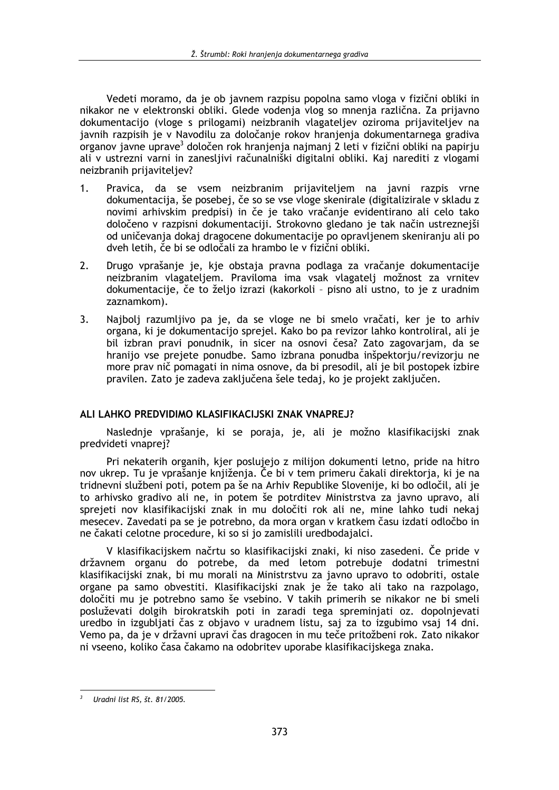Vedeti moramo, da je ob javnem razpisu popolna samo vloga v fizični obliki in nikakor ne v elektronski obliki. Glede vodenia vlog so mnenia različna. Za prijavno dokumentacijo (vloge s prilogami) neizbranih vlagateljev oziroma prijaviteljev na javnih razpisih je v Navodilu za določanje rokov hranjenja dokumentarnega gradiva organov javne uprave<sup>3</sup> določen rok hranjenja najmanj 2 leti v fizični obliki na papirju ali v ustrezni varni in zanesljivi računalniški digitalni obliki. Kaj narediti z vlogami neizbranih prijaviteljev?

- Pravica, da se vsem neizbranim prijaviteljem na javni razpis vrne  $1.$ dokumentacija, še posebej, če so se vse vloge skenirale (digitalizirale v skladu z novimi arhivskim predpisi) in če je tako vračanje evidentirano ali celo tako določeno v razpisni dokumentaciji. Strokovno gledano je tak način ustreznejši od uničevanja dokaj dragocene dokumentacije po opravljenem skeniranju ali po dveh letih, če bi se odločali za hrambo le v fizični obliki.
- $2.$ Drugo vprašanje je, kje obstaja pravna podlaga za vračanje dokumentacije neizbranim vlagateljem. Praviloma ima vsak vlagatelj možnost za vrnitev dokumentacije, če to željo izrazi (kakorkoli - pisno ali ustno, to je z uradnim zaznamkom).
- $\overline{3}$ . Najbolj razumljivo pa je, da se vloge ne bi smelo vračati, ker je to arhiv organa, ki je dokumentacijo sprejel. Kako bo pa revizor lahko kontroliral, ali je bil izbran pravi ponudnik, in sicer na osnovi česa? Zato zagovarjam, da se hranijo vse prejete ponudbe. Samo izbrana ponudba inšpektorju/revizorju ne more prav nič pomagati in nima osnove, da bi presodil, ali je bil postopek izbire pravilen. Zato je zadeva zaključena šele tedaj, ko je projekt zaključen.

#### ALI LAHKO PREDVIDIMO KLASIFIKACIJSKI ZNAK VNAPREJ?

Naslednje vprašanje, ki se poraja, je, ali je možno klasifikacijski znak predvideti vnaprej?

Pri nekaterih organih, kjer poslujejo z milijon dokumenti letno, pride na hitro nov ukrep. Tu je vprašanje knjiženja. Če bi v tem primeru čakali direktorja, ki je na tridnevni službeni poti, potem pa še na Arhiv Republike Slovenije, ki bo odločil, ali je to arhivsko gradivo ali ne, in potem še potrditev Ministrstva za javno upravo, ali sprejeti nov klasifikacijski znak in mu določiti rok ali ne, mine lahko tudi nekaj mesecev. Zavedati pa se je potrebno, da mora organ v kratkem času izdati odločbo in ne čakati celotne procedure, ki so si jo zamislili uredbodajalci.

V klasifikacijskem načrtu so klasifikacijski znaki, ki niso zasedeni. Če pride v državnem organu do potrebe, da med letom potrebuje dodatni trimestni klasifikacijski znak, bi mu morali na Ministrstvu za javno upravo to odobriti, ostale organe pa samo obvestiti. Klasifikacijski znak je že tako ali tako na razpolago, določiti mu je potrebno samo še vsebino. V takih primerih se nikakor ne bi smeli posluževati dolgih birokratskih poti in zaradi tega spreminjati oz. dopolnjevati uredbo in izgubliati čas z objavo v uradnem listu, saj za to izgubimo vsaj 14 dni. Vemo pa, da je v državni upravi čas dragocen in mu teče pritožbeni rok. Zato nikakor ni vseeno, koliko časa čakamo na odobritev uporabe klasifikacijskega znaka.

Uradni list RS, št. 81/2005.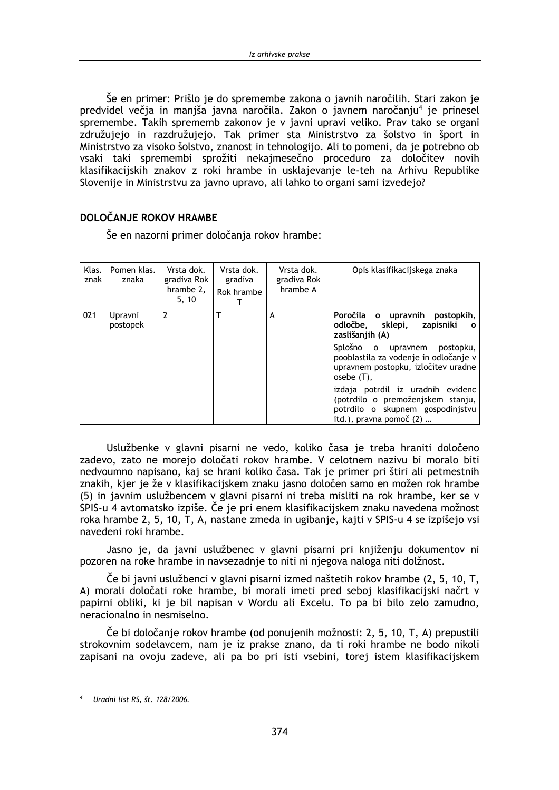Še en primer: Prišlo je do spremembe zakona o javnih naročilih. Stari zakon je predvidel večia in maniša iavna naročila. Zakon o javnem naročanju<sup>4</sup> je prinesel spremembe. Takih sprememb zakonov je v javni upravi veliko. Prav tako se organi združujejo in razdružujejo. Tak primer sta Ministrstvo za šolstvo in šport in Ministrstvo za visoko šolstvo, znanost in tehnologijo. Ali to pomeni, da je potrebno ob vsaki taki spremembi sprožiti nekajmesečno proceduro za določitev novih klasifikacijskih znakov z roki hrambe in usklajevanje le-teh na Arhivu Republike Slovenije in Ministrstvu za javno upravo, ali lahko to organi sami izvedejo?

#### DOLOČANJE ROKOV HRAMBE

Še en nazorni primer določanja rokov hrambe:

| Klas.<br>znak | Pomen klas.<br>znaka | Vrsta dok.<br>gradiva Rok<br>hrambe 2,<br>5.10 | Vrsta dok.<br>gradiva<br>Rok hrambe | Vrsta dok.<br>gradiva Rok<br>hrambe A | Opis klasifikacijskega znaka                                                                                                          |
|---------------|----------------------|------------------------------------------------|-------------------------------------|---------------------------------------|---------------------------------------------------------------------------------------------------------------------------------------|
| 021           | Upravni<br>postopek  | 2                                              |                                     | A                                     | Poročila o upravnih postopkih,<br>odločbe, sklepi,<br>zapisniki<br>$\mathbf{o}$<br>zaslišanjih (A)                                    |
|               |                      |                                                |                                     |                                       | Splošno o upravnem postopku,<br>pooblastila za vodenje in odločanje v<br>upravnem postopku, izločitev uradne<br>$osebe(T)$ ,          |
|               |                      |                                                |                                     |                                       | izdaja potrdil iz uradnih evidenc<br>(potrdilo o premoženjskem stanju,<br>potrdilo o skupnem gospodinjstvu<br>itd.), pravna pomoč (2) |

Uslužbenke v glavni pisarni ne vedo, koliko časa je treba hraniti določeno zadevo, zato ne morejo določati rokov hrambe. V celotnem nazivu bi moralo biti nedvoumno napisano, kaj se hrani koliko časa. Tak je primer pri štiri ali petmestnih znakih, kjer je že v klasifikacijskem znaku jasno določen samo en možen rok hrambe (5) in javnim uslužbencem v glavni pisarni ni treba misliti na rok hrambe, ker se v SPIS-u 4 avtomatsko izpiše. Če je pri enem klasifikacijskem znaku navedena možnost roka hrambe 2, 5, 10, T, A, nastane zmeda in ugibanje, kajti v SPIS-u 4 se izpišejo vsi navedeni roki hrambe.

Jasno je, da javni uslužbenec v glavni pisarni pri knjiženju dokumentov ni pozoren na roke hrambe in navsezadnie to niti ni njegova naloga niti dolžnost.

Če bi javni uslužbenci v glavni pisarni izmed naštetih rokov hrambe (2, 5, 10, T, A) morali določati roke hrambe, bi morali imeti pred seboj klasifikacijski načrt v papirni obliki, ki je bil napisan v Wordu ali Excelu. To pa bi bilo zelo zamudno, neracionalno in nesmiselno.

Če bi določanje rokov hrambe (od ponujenih možnosti: 2, 5, 10, T, A) prepustili strokovnim sodelavcem, nam je iz prakse znano, da ti roki hrambe ne bodo nikoli zapisani na ovoju zadeve, ali pa bo pri isti vsebini, torej istem klasifikacijskem

Uradni list RS, št. 128/2006.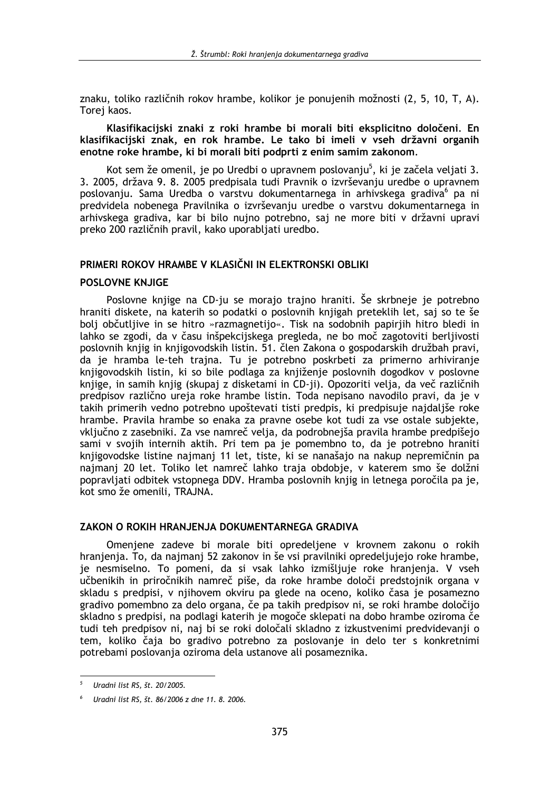znaku, toliko različnih rokov hrambe, kolikor je ponujenih možnosti (2, 5, 10, T, A). Torei kaos.

Klasifikacijski znaki z roki hrambe bi morali biti eksplicitno določeni. En klasifikacijski znak, en rok hrambe. Le tako bi imeli v vseh državni organih enotne roke hrambe, ki bi morali biti podprti z enim samim zakonom.

Kot sem že omenil, je po Uredbi o upravnem poslovanju<sup>5</sup>, ki je začela veljati 3. 3. 2005, država 9. 8. 2005 predpisala tudi Pravnik o izvrševanju uredbe o upravnem poslovanju. Sama Uredba o varstvu dokumentarnega in arhivskega gradiva<sup>6</sup> pa ni predvidela nobenega Pravilnika o izvrševanju uredbe o varstvu dokumentarnega in arhivskega gradiva, kar bi bilo nujno potrebno, saj ne more biti v državni upravi preko 200 različnih pravil, kako uporabljati uredbo.

### PRIMERI ROKOV HRAMBE V KLASIČNI IN ELEKTRONSKI OBLIKI

#### **POSLOVNE KNJIGE**

Poslovne knjige na CD-ju se morajo trajno hraniti. Še skrbneje je potrebno hraniti diskete, na katerih so podatki o poslovnih knjigah preteklih let, saj so te še bolj občutljive in se hitro »razmagnetijo«. Tisk na sodobnih papirjih hitro bledi in lahko se zgodi, da v času inšpekcijskega pregleda, ne bo moč zagotoviti berljivosti poslovnih knjig in knjigovodskih listin. 51. člen Zakona o gospodarskih družbah pravi, da je hramba le-teh trajna. Tu je potrebno poskrbeti za primerno arhiviranje knjigovodskih listin, ki so bile podlaga za knjiženje poslovnih dogodkov v poslovne knjige, in samih knjig (skupaj z disketami in CD-ji). Opozoriti velja, da več različnih predpisov različno ureja roke hrambe listin. Toda nepisano navodilo pravi, da je v takih primerih vedno potrebno upoštevati tisti predpis, ki predpisuje najdaljše roke hrambe. Pravila hrambe so enaka za pravne osebe kot tudi za vse ostale subjekte, vključno z zasebniki. Za vse namreč velja, da podrobnejša pravila hrambe predpišejo sami v svojih internih aktih. Pri tem pa je pomembno to, da je potrebno hraniti knjigovodske listine najmanj 11 let, tiste, ki se nanašajo na nakup nepremičnin pa najmani 20 let. Toliko let namreč lahko traja obdobie, v katerem smo še dolžni popravljati odbitek vstopnega DDV. Hramba poslovnih knjig in letnega poročila pa je, kot smo že omenili, TRAJNA.

#### ZAKON O ROKIH HRANJENJA DOKUMENTARNEGA GRADIVA

Omenjene zadeve bi morale biti opredeljene v krovnem zakonu o rokih hranjenja. To, da najmanj 52 zakonov in še vsi pravilniki opredeljujejo roke hrambe, je nesmiselno. To pomeni, da si vsak lahko izmišljuje roke hranjenja. V vseh učbenikih in priročnikih namreč piše, da roke hrambe določi predstojnik organa v skladu s predpisi, v njihovem okviru pa glede na oceno, koliko časa je posamezno gradivo pomembno za delo organa, če pa takih predpisov ni, se roki hrambe določijo skladno s predpisi, na podlagi katerih je mogoče sklepati na dobo hrambe oziroma če tudi teh predpisov ni, naj bi se roki določali skladno z izkustvenimi predvidevanji o tem, koliko čaja bo gradivo potrebno za poslovanje in delo ter s konkretnimi potrebami poslovanja oziroma dela ustanove ali posameznika.

Uradni list RS, št. 20/2005.

Uradni list RS, št. 86/2006 z dne 11, 8, 2006.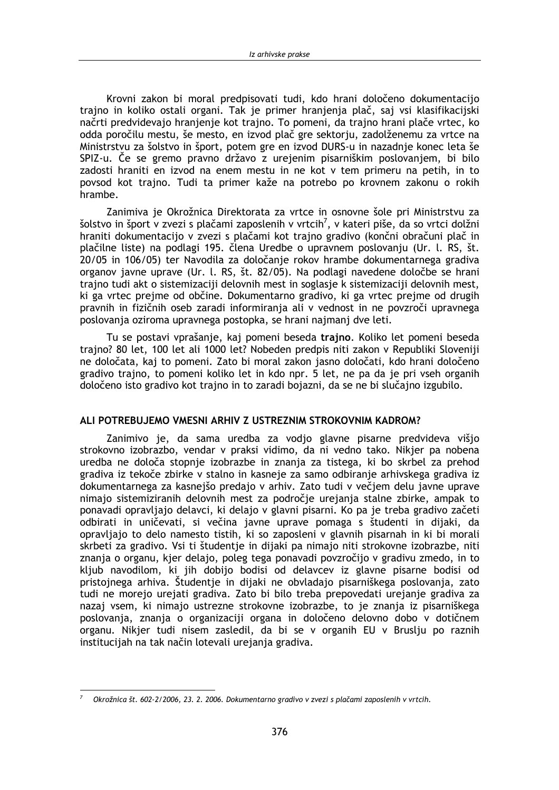Krovni zakon bi moral predpisovati tudi, kdo hrani določeno dokumentacijo trajno in koliko ostali organi. Tak je primer hranjenja plač, saj vsi klasifikacijski načrti predvidevajo hranjenje kot trajno. To pomeni, da trajno hranj plače vrtec, ko odda poročilu mestu, še mesto, en izvod plač gre sektorju, zadolženemu za vrtce na Ministrstvu za šolstvo in šport, potem gre en izvod DURS-u in nazadnje konec leta še SPIZ-u. Če se gremo pravno državo z urejenim pisarniškim poslovanjem, bi bilo zadosti hraniti en izvod na enem mestu in ne kot v tem primeru na petih, in to povsod kot trajno. Tudi ta primer kaže na potrebo po krovnem zakonu o rokih hrambe.

Zanimiva je Okrožnica Direktorata za vrtce in osnovne šole pri Ministrstvu za šolstvo in šport v zvezi s plačami zaposlenih v vrtcih<sup>7</sup>, v kateri piše, da so vrtci dolžni hraniti dokumentacijo v zvezi s plačami kot trajno gradivo (končni obračuni plač in plačilne liste) na podlagi 195. člena Uredbe o upravnem poslovanju (Ur. l. RS, št. 20/05 in 106/05) ter Navodila za določanje rokov hrambe dokumentarnega gradiva organov javne uprave (Ur. l. RS, št. 82/05). Na podlagi navedene določbe se hrani trajno tudi akt o sistemizaciji delovnih mest in soglasie k sistemizaciji delovnih mest. ki ga vrtec prejme od občine. Dokumentarno gradivo, ki ga vrtec prejme od drugih pravnih in fizičnih oseb zaradi informiranja ali v vednost in ne povzroči upravnega poslovanja oziroma upravnega postopka, se hrani najmanj dve leti.

Tu se postavi vprašanje, kaj pomeni beseda trajno. Koliko let pomeni beseda trajno? 80 let, 100 let ali 1000 let? Nobeden predpis niti zakon v Republiki Sloveniji ne določata, kaj to pomeni. Zato bi moral zakon jasno določati, kdo hrani določeno gradivo trajno, to pomeni koliko let in kdo npr. 5 let, ne pa da je pri vseh organih določeno isto gradivo kot trajno in to zaradi bojazni, da se ne bi slučajno izgubilo.

#### ALI POTREBUJEMO VMESNI ARHIV Z USTREZNIM STROKOVNIM KADROM?

Zanimivo je, da sama uredba za vodjo glavne pisarne predvideva višjo strokovno izobrazbo, vendar v praksi vidimo, da ni vedno tako. Nikier pa nobena uredba ne določa stopnie izobrazbe in znania za tistega, ki bo skrbel za prehod gradiva iz tekoče zbirke v stalno in kasneje za samo odbiranje arhivskega gradiva iz dokumentarnega za kasnejšo predajo v arhiv. Zato tudi v večjem delu javne uprave nimajo sistemiziranih delovnih mest za področie urejanja stalne zbirke, ampak to ponavadi opravliajo delavci, ki delajo v glavni pisarni. Ko pa je treba gradivo začeti odbirati in uničevati, si večina javne uprave pomaga s študenti in dijaki, da opravljajo to delo namesto tistih, ki so zaposleni v glavnih pisarnah in ki bi morali skrbeti za gradivo. Vsi ti študentje in dijaki pa nimajo niti strokovne izobrazbe, niti znanja o organu, kjer delajo, poleg tega ponavadi povzročijo v gradivu zmedo, in to kljub navodilom, ki jih dobijo bodisi od delavcev iz glavne pisarne bodisi od pristojnega arhiva. Študentje in dijaki ne obvladajo pisarniškega poslovanja, zato tudi ne morejo urejati gradiva. Zato bi bilo treba prepovedati urejanje gradiva za nazaj vsem, ki nimajo ustrezne strokovne izobrazbe, to je znanja iz pisarniškega poslovanja, znanja o organizaciji organa in določeno delovno dobo v dotičnem organu. Nikjer tudi nisem zasledil, da bi se v organih EU v Bruslju po raznih institucijah na tak način lotevali urejanja gradiva.

Okrožnica št. 602-2/2006, 23. 2. 2006. Dokumentarno gradivo v zvezi s plačami zaposlenih v vrtcih.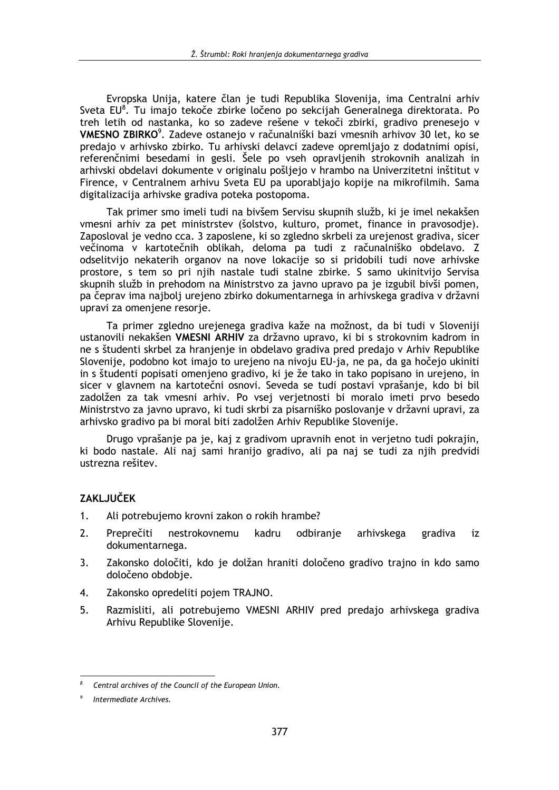Evropska Unija, katere član je tudi Republika Slovenija, ima Centralni arhiv Sveta EU<sup>8</sup>. Tu imaio tekoče zbirke ločeno po sekcijah Generalnega direktorata. Po treh letih od nastanka, ko so zadeve rešene v tekoči zbirki, gradivo prenesejo v VMESNO ZBIRKO<sup>9</sup>. Zadeve ostanejo v računalniški bazi vmesnih arhivov 30 let, ko se predajo v arhivsko zbirko. Tu arhivski delavci zadeve opremljajo z dodatnimi opisi, referenčnimi besedami in gesli. Šele po vseh opravljenih strokovnih analizah in arhivski obdelavi dokumente v originalu pošljejo v hrambo na Univerzitetni inštitut v Firence, v Centralnem arhivu Sveta EU pa uporabljajo kopije na mikrofilmih. Sama digitalizacija arhivske gradiva poteka postopoma.

Tak primer smo imeli tudi na bivšem Servisu skupnih služb, ki je imel nekakšen vmesni arhiv za pet ministrstev (šolstvo, kulturo, promet, finance in pravosodje). Zaposloval je vedno cca. 3 zaposlene, ki so zgledno skrbeli za urejenost gradiva, sicer večinoma v kartotečnih oblikah, deloma pa tudi z računalniško obdelavo. Z odselitvijo nekaterih organov na nove lokacije so si pridobili tudi nove arhivske prostore, s tem so pri njih nastale tudi stalne zbirke. S samo ukinitvijo Servisa skupnih služb in prehodom na Ministrstvo za javno upravo pa je izgubil bivši pomen, pa čeprav ima najbolj urejeno zbirko dokumentarnega in arhivskega gradiva v državni upravi za omenjene resorje.

Ta primer zgledno urejenega gradiva kaže na možnost, da bi tudi v Sloveniji ustanovili nekakšen VMESNI ARHIV za državno upravo, ki bi s strokovnim kadrom in ne s študenti skrbel za hranjenje in obdelavo gradiva pred predajo v Arhiv Republike Slovenije, podobno kot imajo to urejeno na nivoju EU-ja, ne pa, da ga hočejo ukiniti in s študenti popisati omenjeno gradivo, ki je že tako in tako popisano in urejeno, in sicer v glavnem na kartotečni osnovi. Seveda se tudi postavi vprašanje, kdo bi bil zadolžen za tak vmesni arhiv. Po vsej verjetnosti bi moralo imeti prvo besedo Ministrstvo za javno upravo, ki tudi skrbi za pisarniško poslovanje v državni upravi, za arhivsko gradivo pa bi moral biti zadolžen Arhiv Republike Slovenije.

Drugo vprašanie pa je, kaj z gradivom upravnih enot in verietno tudi pokrajin, ki bodo nastale. Ali naj sami hranijo gradivo, ali pa naj se tudi za njih predvidi ustrezna rešitev.

### **ZAKLJUČEK**

- $1<sub>1</sub>$ Ali potrebujemo krovni zakon o rokih hrambe?
- $2.$ Preprečiti nestrokovnemu kadru odbiranje arhivskega gradiva iz dokumentarnega.
- $3.$ Zakonsko določiti, kdo je dolžan hraniti določeno gradivo trajno in kdo samo določeno obdobje.
- $4.$ Zakonsko opredeliti pojem TRAJNO.
- $5.$ Razmisliti, ali potrebujemo VMESNI ARHIV pred predajo arhivskega gradiva Arhivu Republike Slovenije.

Central archives of the Council of the European Union.

Intermediate Archives.